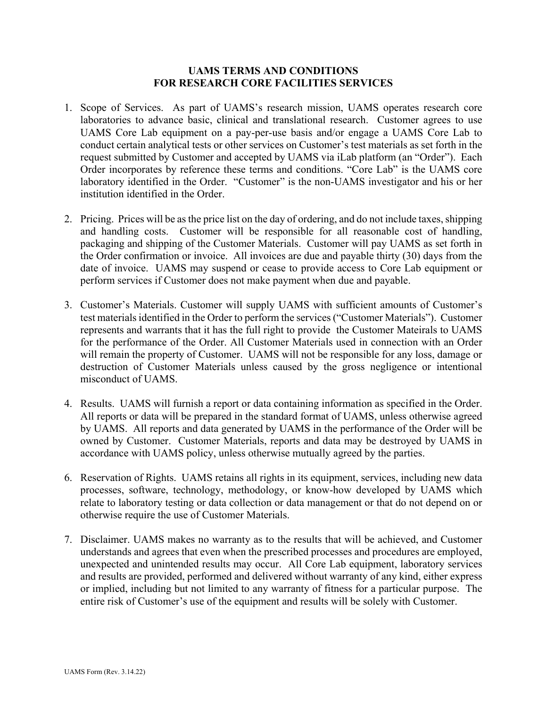## **UAMS TERMS AND CONDITIONS FOR RESEARCH CORE FACILITIES SERVICES**

- 1. Scope of Services. As part of UAMS's research mission, UAMS operates research core laboratories to advance basic, clinical and translational research. Customer agrees to use UAMS Core Lab equipment on a pay-per-use basis and/or engage a UAMS Core Lab to conduct certain analytical tests or other services on Customer's test materials as set forth in the request submitted by Customer and accepted by UAMS via iLab platform (an "Order"). Each Order incorporates by reference these terms and conditions. "Core Lab" is the UAMS core laboratory identified in the Order. "Customer" is the non-UAMS investigator and his or her institution identified in the Order.
- 2. Pricing. Prices will be as the price list on the day of ordering, and do not include taxes, shipping and handling costs. Customer will be responsible for all reasonable cost of handling, packaging and shipping of the Customer Materials. Customer will pay UAMS as set forth in the Order confirmation or invoice. All invoices are due and payable thirty (30) days from the date of invoice. UAMS may suspend or cease to provide access to Core Lab equipment or perform services if Customer does not make payment when due and payable.
- 3. Customer's Materials. Customer will supply UAMS with sufficient amounts of Customer's test materials identified in the Order to perform the services("Customer Materials"). Customer represents and warrants that it has the full right to provide the Customer Mateirals to UAMS for the performance of the Order. All Customer Materials used in connection with an Order will remain the property of Customer. UAMS will not be responsible for any loss, damage or destruction of Customer Materials unless caused by the gross negligence or intentional misconduct of UAMS.
- 4. Results. UAMS will furnish a report or data containing information as specified in the Order. All reports or data will be prepared in the standard format of UAMS, unless otherwise agreed by UAMS. All reports and data generated by UAMS in the performance of the Order will be owned by Customer. Customer Materials, reports and data may be destroyed by UAMS in accordance with UAMS policy, unless otherwise mutually agreed by the parties.
- 6. Reservation of Rights. UAMS retains all rights in its equipment, services, including new data processes, software, technology, methodology, or know-how developed by UAMS which relate to laboratory testing or data collection or data management or that do not depend on or otherwise require the use of Customer Materials.
- 7. Disclaimer. UAMS makes no warranty as to the results that will be achieved, and Customer understands and agrees that even when the prescribed processes and procedures are employed, unexpected and unintended results may occur. All Core Lab equipment, laboratory services and results are provided, performed and delivered without warranty of any kind, either express or implied, including but not limited to any warranty of fitness for a particular purpose. The entire risk of Customer's use of the equipment and results will be solely with Customer.